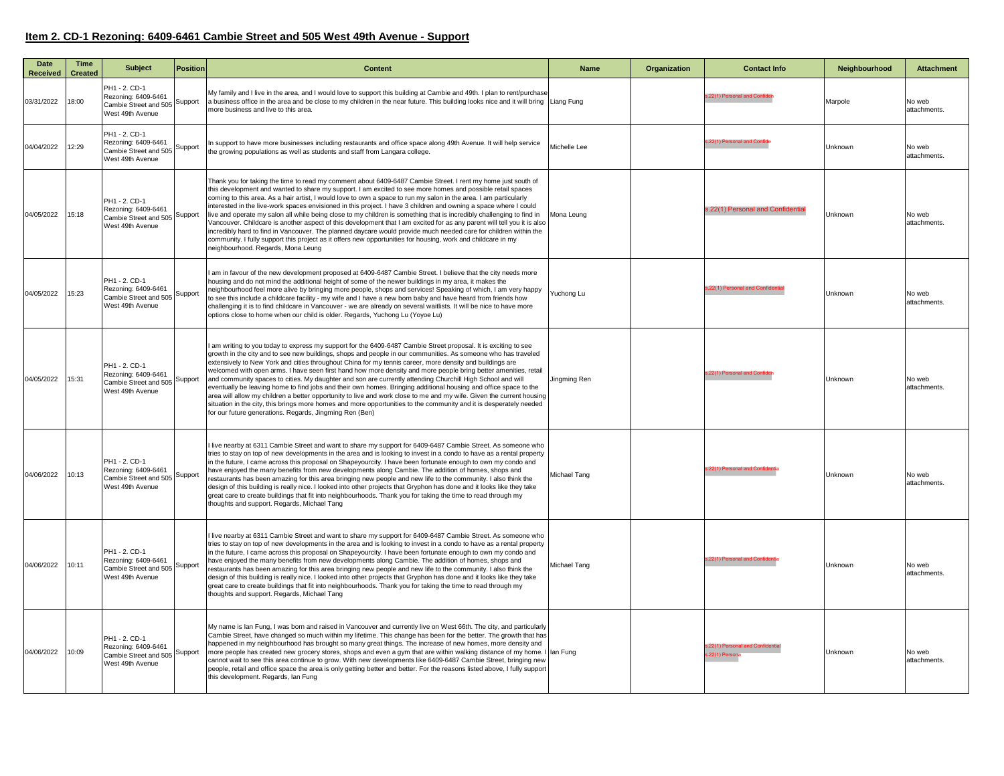## **Item 2. CD-1 Rezoning: 6409-6461 Cambie Street and 505 West 49th Avenue - Support**

| Date<br><b>Received</b> | Time<br><b>Created</b> | <b>Subject</b>                                                                    | <b>Position</b> | <b>Content</b>                                                                                                                                                                                                                                                                                                                                                                                                                                                                                                                                                                                                                                                                                                                                                                                                                                                                                                                                                                                             | <b>Name</b>  | Organization | <b>Contact Info</b>                            | Neighbourhood | <b>Attachment</b>      |
|-------------------------|------------------------|-----------------------------------------------------------------------------------|-----------------|------------------------------------------------------------------------------------------------------------------------------------------------------------------------------------------------------------------------------------------------------------------------------------------------------------------------------------------------------------------------------------------------------------------------------------------------------------------------------------------------------------------------------------------------------------------------------------------------------------------------------------------------------------------------------------------------------------------------------------------------------------------------------------------------------------------------------------------------------------------------------------------------------------------------------------------------------------------------------------------------------------|--------------|--------------|------------------------------------------------|---------------|------------------------|
| 03/31/2022              | 18:00                  | PH1 - 2. CD-1<br>Rezoning: 6409-6461<br>Cambie Street and 505<br>West 49th Avenue | Support         | My family and I live in the area, and I would love to support this building at Cambie and 49th. I plan to rent/purchase<br>a business office in the area and be close to my children in the near future. This building looks nice and it will bring Liang Fung<br>more business and live to this area.                                                                                                                                                                                                                                                                                                                                                                                                                                                                                                                                                                                                                                                                                                     |              |              | s.22(1) Personal and Confide                   | Marpole       | No web<br>attachments. |
| 04/04/2022              | 12:29                  | PH1 - 2. CD-1<br>Rezoning: 6409-6461<br>Cambie Street and 505<br>West 49th Avenue | Support         | In support to have more businesses including restaurants and office space along 49th Avenue. It will help service<br>the growing populations as well as students and staff from Langara college.                                                                                                                                                                                                                                                                                                                                                                                                                                                                                                                                                                                                                                                                                                                                                                                                           | Michelle Lee |              | .22(1) Personal and Confid                     | Unknown       | No web<br>attachments. |
| 04/05/2022              | 15:18                  | PH1 - 2. CD-1<br>Rezoning: 6409-6461<br>Cambie Street and 505<br>West 49th Avenue | Support         | Thank you for taking the time to read my comment about 6409-6487 Cambie Street. I rent my home just south of<br>this development and wanted to share my support. I am excited to see more homes and possible retail spaces<br>coming to this area. As a hair artist, I would love to own a space to run my salon in the area. I am particularly<br>interested in the live-work spaces envisioned in this project. I have 3 children and owning a space where I could<br>live and operate my salon all while being close to my children is something that is incredibly challenging to find in<br>Vancouver. Childcare is another aspect of this development that I am excited for as any parent will tell you it is also<br>incredibly hard to find in Vancouver. The planned daycare would provide much needed care for children within the<br>community. I fully support this project as it offers new opportunities for housing, work and childcare in my<br>neighbourhood. Regards, Mona Leung         | Mona Leung   |              | .22(1) Personal and Confidentia                | Unknown       | No web<br>attachments  |
| 04/05/2022              | 15:23                  | PH1 - 2. CD-1<br>Rezoning: 6409-6461<br>Cambie Street and 505<br>West 49th Avenue | Support         | am in favour of the new development proposed at 6409-6487 Cambie Street. I believe that the city needs more<br>housing and do not mind the additional height of some of the newer buildings in my area, it makes the<br>neighbourhood feel more alive by bringing more people, shops and services! Speaking of which, I am very happy<br>to see this include a childcare facility - my wife and I have a new born baby and have heard from friends how<br>challenging it is to find childcare in Vancouver - we are already on several waitlists. It will be nice to have more<br>options close to home when our child is older. Regards, Yuchong Lu (Yoyoe Lu)                                                                                                                                                                                                                                                                                                                                            | Yuchong Lu   |              | s.22(1) Personal and Confider                  | Unknown       | No web<br>attachments  |
| 04/05/2022              | 15:31                  | PH1 - 2. CD-1<br>Rezoning: 6409-6461<br>Cambie Street and 505<br>West 49th Avenue | Support         | I am writing to you today to express my support for the 6409-6487 Cambie Street proposal. It is exciting to see<br>growth in the city and to see new buildings, shops and people in our communities. As someone who has traveled<br>extensively to New York and cities throughout China for my tennis career, more density and buildings are<br>welcomed with open arms. I have seen first hand how more density and more people bring better amenities, retail<br>and community spaces to cities. My daughter and son are currently attending Churchill High School and will<br>eventually be leaving home to find jobs and their own homes. Bringing additional housing and office space to the<br>area will allow my children a better opportunity to live and work close to me and my wife. Given the current housing<br>situation in the city, this brings more homes and more opportunities to the community and it is desperately needed<br>for our future generations. Regards, Jingming Ren (Ben) | Jinamina Ren |              | s.22(1) Personal and Confid                    | Unknown       | No web<br>attachments. |
| 04/06/2022              | 10:13                  | PH1 - 2. CD-1<br>Rezoning: 6409-6461<br>Cambie Street and 505<br>West 49th Avenue | Support         | I live nearby at 6311 Cambie Street and want to share my support for 6409-6487 Cambie Street. As someone who<br>tries to stay on top of new developments in the area and is looking to invest in a condo to have as a rental property<br>in the future, I came across this proposal on Shapeyourcity. I have been fortunate enough to own my condo and<br>have enjoyed the many benefits from new developments along Cambie. The addition of homes, shops and<br>restaurants has been amazing for this area bringing new people and new life to the community. I also think the<br>design of this building is really nice. I looked into other projects that Gryphon has done and it looks like they take<br>great care to create buildings that fit into neighbourhoods. Thank you for taking the time to read through my<br>thoughts and support. Regards, Michael Tang                                                                                                                                  | Michael Tang |              | s.22(1) Personal and Confid                    | Unknown       | No web<br>attachments  |
| 04/06/2022              | 10:11                  | PH1 - 2. CD-1<br>Rezoning: 6409-6461<br>Cambie Street and 505<br>West 49th Avenue | Support         | I live nearby at 6311 Cambie Street and want to share my support for 6409-6487 Cambie Street. As someone who<br>tries to stay on top of new developments in the area and is looking to invest in a condo to have as a rental property<br>in the future, I came across this proposal on Shapeyourcity. I have been fortunate enough to own my condo and<br>have enjoyed the many benefits from new developments along Cambie. The addition of homes, shops and<br>restaurants has been amazing for this area bringing new people and new life to the community. I also think the<br>design of this building is really nice. I looked into other projects that Gryphon has done and it looks like they take<br>great care to create buildings that fit into neighbourhoods. Thank you for taking the time to read through my<br>thoughts and support. Regards, Michael Tang                                                                                                                                  | Michael Tang |              | s.22(1) Personal and Confid                    | Unknown       | No web<br>attachments. |
| 04/06/2022              | 10:09                  | PH1 - 2. CD-1<br>Rezoning: 6409-6461<br>Cambie Street and 505<br>West 49th Avenue | Support         | My name is lan Fung, I was born and raised in Vancouver and currently live on West 66th. The city, and particularly<br>Cambie Street, have changed so much within my lifetime. This change has been for the better. The growth that has<br>happened in my neighbourhood has brought so many great things. The increase of new homes, more density and<br>more people has created new grocery stores, shops and even a gym that are within walking distance of my home. I lan Fung<br>cannot wait to see this area continue to grow. With new developments like 6409-6487 Cambie Street, bringing new<br>people, retail and office space the area is only getting better and better. For the reasons listed above, I fully support<br>this development. Regards, Ian Fung                                                                                                                                                                                                                                   |              |              | .22(1) Personal and Confide<br>s.22(1) Person: | Unknown       | No web<br>attachments  |